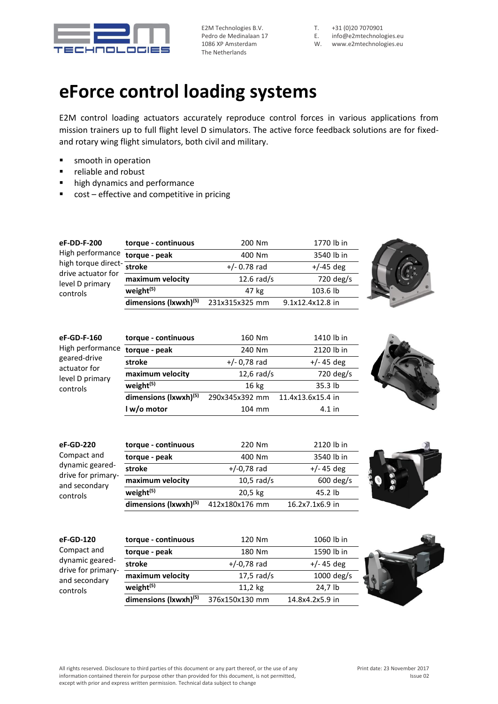

E2M Technologies B.V. Pedro de Medinalaan 17 1086 XP Amsterdam The Netherlands

T. +31 (0)20 7070901

- E. [info@e2mtechnologies.eu](mailto:info@e2mtechnologies.eu)
- W. [www.e2mtechnologies.eu](http://www.e2mtechnologies.eu/)

## **eForce control loading systems**

E2M control loading actuators accurately reproduce control forces in various applications from mission trainers up to full flight level D simulators. The active force feedback solutions are for fixedand rotary wing flight simulators, both civil and military.

- smooth in operation
- reliable and robust
- high dynamics and performance
- cost effective and competitive in pricing

| eF-DD-F-200<br>High performance<br>high torque direct- stroke<br>drive actuator for<br>level D primary<br>controls | torque - continuous               | 200 Nm         | 1770 lb in        |  |
|--------------------------------------------------------------------------------------------------------------------|-----------------------------------|----------------|-------------------|--|
|                                                                                                                    | torque - peak                     | 400 Nm         | 3540 lb in        |  |
|                                                                                                                    |                                   | $+/- 0.78$ rad | $+/-45$ deg       |  |
|                                                                                                                    | maximum velocity                  | $12.6$ rad/s   | 720 deg/s         |  |
|                                                                                                                    | weight <sup>(5)</sup>             | 47 kg          | 103.6 lb          |  |
|                                                                                                                    | dimensions (lxwxh) <sup>(5)</sup> | 231x315x325 mm | 9.1x12.4x12.8 in  |  |
|                                                                                                                    |                                   |                |                   |  |
| eF-GD-F-160<br>High performance<br>geared-drive                                                                    | torque - continuous               | 160 Nm         | 1410 lb in        |  |
|                                                                                                                    | torque - peak                     | 240 Nm         | 2120 lb in        |  |
|                                                                                                                    | stroke                            | $+/- 0.78$ rad | $+/- 45$ deg      |  |
| actuator for<br>level D primary                                                                                    | maximum velocity                  | $12,6$ rad/s   | 720 deg/s         |  |
| controls                                                                                                           | weight <sup>(5)</sup>             | 16 kg          | 35.3 lb           |  |
|                                                                                                                    | dimensions (lxwxh)(5)             | 290x345x392 mm | 11.4x13.6x15.4 in |  |
|                                                                                                                    | I w/o motor                       | 104 mm         | $4.1$ in          |  |
|                                                                                                                    |                                   |                |                   |  |
| eF-GD-220                                                                                                          | torque - continuous               | 220 Nm         | 2120 lb in        |  |
| Compact and                                                                                                        | torque - peak                     | 400 Nm         | 3540 lb in        |  |
| dynamic geared-<br>drive for primary-<br>and secondary<br>controls                                                 | stroke                            | $+/-0,78$ rad  | $+/- 45$ deg      |  |
|                                                                                                                    | maximum velocity                  | $10,5$ rad/s   | 600 deg/s         |  |
|                                                                                                                    | weight <sup>(5)</sup>             | 20,5 kg        | 45.2 lb           |  |
|                                                                                                                    | dimensions (lxwxh) <sup>(5)</sup> | 412x180x176 mm | 16.2x7.1x6.9 in   |  |
|                                                                                                                    |                                   |                |                   |  |
| eF-GD-120<br>Compact and<br>dynamic geared-<br>drive for primary-<br>and secondary<br>controls                     | torque - continuous               | 120 Nm         | 1060 lb in        |  |
|                                                                                                                    | torque - peak                     | 180 Nm         | 1590 lb in        |  |
|                                                                                                                    | stroke                            | $+/-0,78$ rad  | $+/- 45$ deg      |  |
|                                                                                                                    | maximum velocity                  | $17,5$ rad/s   | 1000 deg/s        |  |
|                                                                                                                    | weight <sup>(5)</sup>             | 11,2 kg        | 24,7 lb           |  |

**dimensions (lxwxh)(5)** 376x150x130 mm 14.8x4.2x5.9 in

except with prior and express written permission. Technical data subject to change